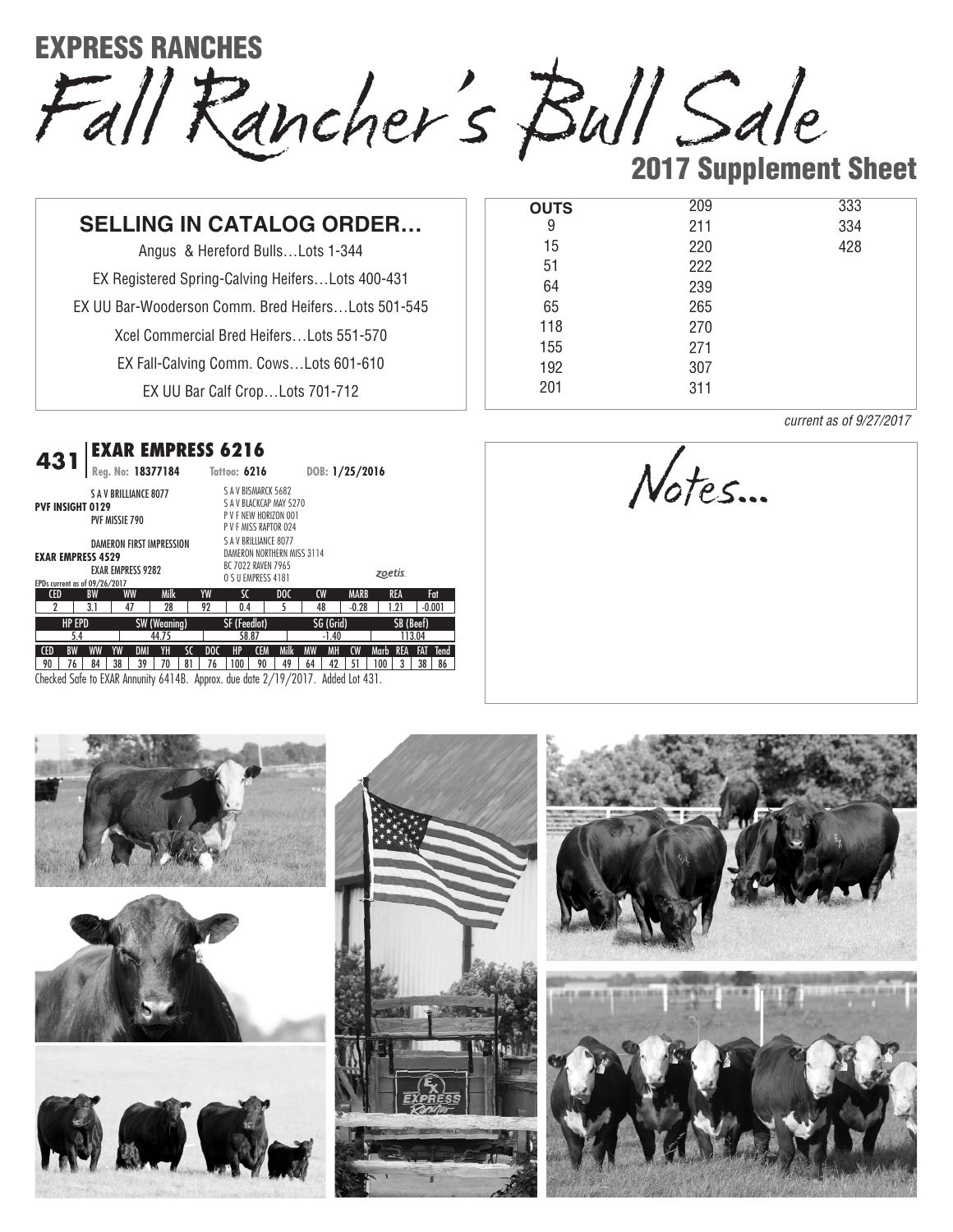EXPRESS RANCHES

Fall Rancher's Bull Sale 2017 Supplement Sheet

## **SELLING IN CATALOG ORDER…**

Angus & Hereford Bulls…Lots 1-344 EX Registered Spring-Calving Heifers…Lots 400-431 EX UU Bar-Wooderson Comm. Bred Heifers…Lots 501-545 Xcel Commercial Bred Heifers…Lots 551-570 EX Fall-Calving Comm. Cows…Lots 601-610

EX UU Bar Calf Crop…Lots 701-712

## *EXAR EMPRESS 6216* **431**

| 4J I                                                                            | Reg. No: 18377184                                           |           |                     |       |     | Tattoo: 6216                                                          |            |                            | DOB: 1/25/2016 |           |             |         |            |          |             |
|---------------------------------------------------------------------------------|-------------------------------------------------------------|-----------|---------------------|-------|-----|-----------------------------------------------------------------------|------------|----------------------------|----------------|-----------|-------------|---------|------------|----------|-------------|
| <b>PVF INSIGHT 0129</b>                                                         | <b>SAV BRILLIANCE 8077</b><br>PVF MISSIE 790                |           |                     |       |     | S A V BISMARCK 5682<br>P V F NEW HORIZON 001<br>P V F MISS RAPTOR 024 |            | S A V BLACKCAP MAY 5270    |                |           |             |         |            |          |             |
| <b>EXAR EMPRESS 4529</b><br>EPDs current as of 09/26/2017                       | <b>DAMERON FIRST IMPRESSION</b><br><b>EXAR EMPRESS 9282</b> |           |                     |       |     | S A V BRILLIANCE 8077<br>BC 7022 RAVEN 7965<br>O S U EMPRESS 4181     |            | DAMERON NORTHERN MISS 3114 |                |           |             | zoetis. |            |          |             |
| <b>CED</b>                                                                      | <b>BW</b>                                                   | <b>WW</b> | Milk                |       | YW  | SC                                                                    |            | D <sub>0</sub> C           | CW             |           | <b>MARB</b> |         | <b>REA</b> |          | Fat         |
| 2                                                                               | 3.1                                                         | 47        | 28                  |       | 92  | 0.4                                                                   |            | 5                          | 48             |           | $-0.28$     |         | 1.21       | $-0.001$ |             |
| <b>HP EPD</b>                                                                   |                                                             |           | <b>SW (Weaning)</b> |       |     | SF (Feedlot)                                                          |            |                            |                | SG (Grid) |             |         | SB (Beef)  |          |             |
| 5.4                                                                             | 44.75                                                       |           |                     | 58.87 |     |                                                                       |            | $-1.40$                    |                |           | 113.04      |         |            |          |             |
| <b>CED</b><br><b>BW</b>                                                         | <b>WW</b><br>YW                                             | DMI       | YH                  | SC    | DOC | HP                                                                    | <b>CEM</b> | Milk                       | <b>MW</b>      | <b>MH</b> | CW          | Marb    | <b>REA</b> | FAT      | <b>Tend</b> |
| 90<br>76                                                                        | 38<br>84                                                    | 39        | 70                  | 81    | 76  | 100                                                                   | 90         | 49                         | 64             | 42        | 51          | 100     | 3          | 38       | 86          |
| Checked Safe to EXAR Annunity 6414B. Approx. due date 2/19/2017. Added Lot 431. |                                                             |           |                     |       |     |                                                                       |            |                            |                |           |             |         |            |          |             |

| <b>OUTS</b> | 209 | 333 |
|-------------|-----|-----|
| 9           | 211 | 334 |
| 15          | 220 | 428 |
| 51          | 222 |     |
| 64          | 239 |     |
| 65          | 265 |     |
| 118         | 270 |     |
| 155         | 271 |     |
| 192         | 307 |     |
| 201         | 311 |     |
|             |     |     |

*current as of 9/27/2017*

Notes…

## NO AU S